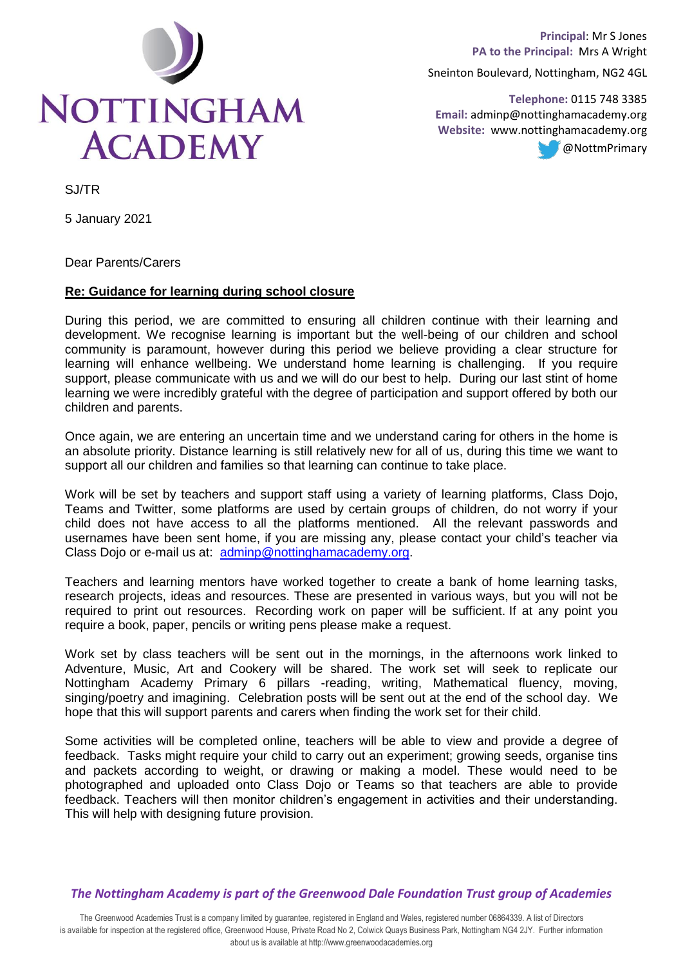

**Principal**: Mr S Jones **PA to the Principal:** Mrs A Wright

Sneinton Boulevard, Nottingham, NG2 4GL

**Telephone:** 0115 748 3385  **Email:** adminp@nottinghamacademy.org **Website:** www.nottinghamacademy.org @NottmPrimary

SJ/TR

5 January 2021

Dear Parents/Carers

## **Re: Guidance for learning during school closure**

During this period, we are committed to ensuring all children continue with their learning and development. We recognise learning is important but the well-being of our children and school community is paramount, however during this period we believe providing a clear structure for learning will enhance wellbeing. We understand home learning is challenging. If you require support, please communicate with us and we will do our best to help. During our last stint of home learning we were incredibly grateful with the degree of participation and support offered by both our children and parents.

Once again, we are entering an uncertain time and we understand caring for others in the home is an absolute priority. Distance learning is still relatively new for all of us, during this time we want to support all our children and families so that learning can continue to take place.

Work will be set by teachers and support staff using a variety of learning platforms, Class Dojo, Teams and Twitter, some platforms are used by certain groups of children, do not worry if your child does not have access to all the platforms mentioned. All the relevant passwords and usernames have been sent home, if you are missing any, please contact your child's teacher via Class Dojo or e-mail us at: [adminp@nottinghamacademy.org.](mailto:adminp@nottinghamacademy.org)

Teachers and learning mentors have worked together to create a bank of home learning tasks, research projects, ideas and resources. These are presented in various ways, but you will not be required to print out resources. Recording work on paper will be sufficient. If at any point you require a book, paper, pencils or writing pens please make a request.

Work set by class teachers will be sent out in the mornings, in the afternoons work linked to Adventure, Music, Art and Cookery will be shared. The work set will seek to replicate our Nottingham Academy Primary 6 pillars -reading, writing, Mathematical fluency, moving, singing/poetry and imagining. Celebration posts will be sent out at the end of the school day. We hope that this will support parents and carers when finding the work set for their child.

Some activities will be completed online, teachers will be able to view and provide a degree of feedback. Tasks might require your child to carry out an experiment; growing seeds, organise tins and packets according to weight, or drawing or making a model. These would need to be photographed and uploaded onto Class Dojo or Teams so that teachers are able to provide feedback. Teachers will then monitor children's engagement in activities and their understanding. This will help with designing future provision.

*The Nottingham Academy is part of the Greenwood Dale Foundation Trust group of Academies*